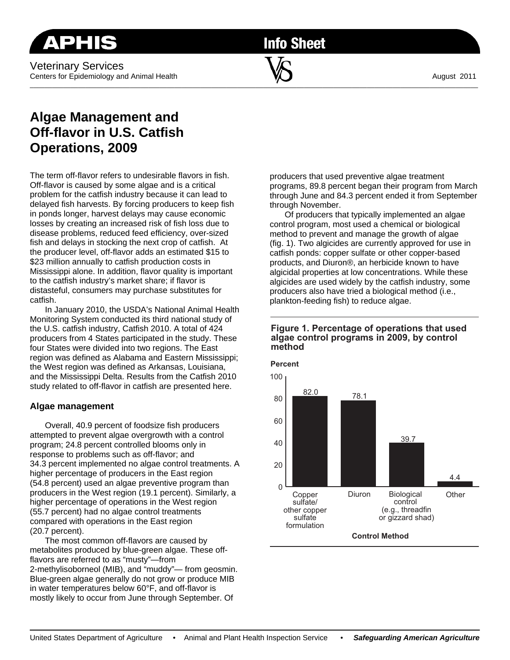**Info Sheet** 

 $\overline{\phantom{a}}$  , and the contribution of the contribution of  $\overline{\phantom{a}}$  , and the contribution of  $\overline{\phantom{a}}$ 

# **Algae Management and Off-flavor in U.S. Catfish Operations, 2009**

The term off-flavor refers to undesirable flavors in fish. Off-flavor is caused by some algae and is a critical problem for the catfish industry because it can lead to delayed fish harvests. By forcing producers to keep fish in ponds longer, harvest delays may cause economic losses by creating an increased risk of fish loss due to disease problems, reduced feed efficiency, over-sized fish and delays in stocking the next crop of catfish. At the producer level, off-flavor adds an estimated \$15 to \$23 million annually to catfish production costs in Mississippi alone. In addition, flavor quality is important to the catfish industry's market share; if flavor is distasteful, consumers may purchase substitutes for catfish.

 In January 2010, the USDA's National Animal Health Monitoring System conducted its third national study of the U.S. catfish industry, Catfish 2010. A total of 424 producers from 4 States participated in the study. These four States were divided into two regions. The East region was defined as Alabama and Eastern Mississippi; the West region was defined as Arkansas, Louisiana, and the Mississippi Delta. Results from the Catfish 2010 study related to off-flavor in catfish are presented here.

## **Algae management**

 Overall, 40.9 percent of foodsize fish producers attempted to prevent algae overgrowth with a control program; 24.8 percent controlled blooms only in response to problems such as off-flavor; and 34.3 percent implemented no algae control treatments. A higher percentage of producers in the East region (54.8 percent) used an algae preventive program than producers in the West region (19.1 percent). Similarly, a higher percentage of operations in the West region (55.7 percent) had no algae control treatments compared with operations in the East region (20.7 percent).

 The most common off-flavors are caused by metabolites produced by blue-green algae. These offflavors are referred to as "musty"—from 2-methylisoborneol (MIB), and "muddy"— from geosmin. Blue-green algae generally do not grow or produce MIB in water temperatures below 60°F, and off-flavor is mostly likely to occur from June through September. Of

producers that used preventive algae treatment programs, 89.8 percent began their program from March through June and 84.3 percent ended it from September through November.

 Of producers that typically implemented an algae control program, most used a chemical or biological method to prevent and manage the growth of algae (fig. 1). Two algicides are currently approved for use in catfish ponds: copper sulfate or other copper-based products, and Diuron®, an herbicide known to have algicidal properties at low concentrations. While these algicides are used widely by the catfish industry, some producers also have tried a biological method (i.e., plankton-feeding fish) to reduce algae.

#### **Figure 1. Percentage of operations that used algae control programs in 2009, by control method**

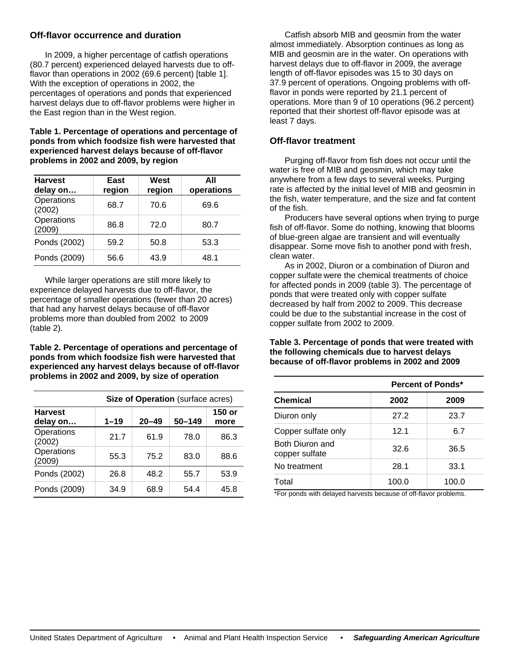## **Off-flavor occurrence and duration**

 In 2009, a higher percentage of catfish operations (80.7 percent) experienced delayed harvests due to offflavor than operations in 2002 (69.6 percent) [table 1]. With the exception of operations in 2002, the percentages of operations and ponds that experienced harvest delays due to off-flavor problems were higher in the East region than in the West region.

**Table 1. Percentage of operations and percentage of ponds from which foodsize fish were harvested that experienced harvest delays because of off-flavor problems in 2002 and 2009, by region** 

| <b>Harvest</b><br>delay on | East<br>region | West<br>region | All<br>operations |
|----------------------------|----------------|----------------|-------------------|
| Operations<br>(2002)       | 68.7           | 70.6           | 69.6              |
| Operations<br>(2009)       | 86.8           | 72.0           | 80.7              |
| Ponds (2002)               | 59.2           | 50.8           | 53.3              |
| Ponds (2009)               | 56.6           | 43.9           | 48.1              |

While larger operations are still more likely to experience delayed harvests due to off-flavor, the percentage of smaller operations (fewer than 20 acres) that had any harvest delays because of off-flavor problems more than doubled from 2002 to 2009 (table 2).

**Table 2. Percentage of operations and percentage of ponds from which foodsize fish were harvested that experienced any harvest delays because of off-flavor problems in 2002 and 2009, by size of operation** 

| Size of Operation (surface acres) |          |           |            |                |  |  |
|-----------------------------------|----------|-----------|------------|----------------|--|--|
| <b>Harvest</b><br>delay on        | $1 - 19$ | $20 - 49$ | $50 - 149$ | 150 or<br>more |  |  |
| Operations<br>(2002)              | 21.7     | 61.9      | 78.0       | 86.3           |  |  |
| Operations<br>(2009)              | 55.3     | 75.2      | 83.0       | 88.6           |  |  |
| Ponds (2002)                      | 26.8     | 48.2      | 55.7       | 53.9           |  |  |
| Ponds (2009)                      | 34.9     | 68.9      | 54.4       | 45.8           |  |  |

 Catfish absorb MIB and geosmin from the water almost immediately. Absorption continues as long as MIB and geosmin are in the water. On operations with harvest delays due to off-flavor in 2009, the average length of off-flavor episodes was 15 to 30 days on 37.9 percent of operations. Ongoing problems with offflavor in ponds were reported by 21.1 percent of operations. More than 9 of 10 operations (96.2 percent) reported that their shortest off-flavor episode was at least 7 days.

## **Off-flavor treatment**

 Purging off-flavor from fish does not occur until the water is free of MIB and geosmin, which may take anywhere from a few days to several weeks. Purging rate is affected by the initial level of MIB and geosmin in the fish, water temperature, and the size and fat content of the fish.

 Producers have several options when trying to purge fish of off-flavor. Some do nothing, knowing that blooms of blue-green algae are transient and will eventually disappear. Some move fish to another pond with fresh, clean water.

 As in 2002, Diuron or a combination of Diuron and copper sulfate were the chemical treatments of choice for affected ponds in 2009 (table 3). The percentage of ponds that were treated only with copper sulfate decreased by half from 2002 to 2009. This decrease could be due to the substantial increase in the cost of copper sulfate from 2002 to 2009.

#### **Table 3. Percentage of ponds that were treated with the following chemicals due to harvest delays because of off-flavor problems in 2002 and 2009**

|                                   | <b>Percent of Ponds*</b> |       |  |  |
|-----------------------------------|--------------------------|-------|--|--|
| <b>Chemical</b>                   | 2002                     | 2009  |  |  |
| Diuron only                       | 27.2                     | 23.7  |  |  |
| Copper sulfate only               | 12.1                     | 6.7   |  |  |
| Both Diuron and<br>copper sulfate | 32.6                     | 36.5  |  |  |
| No treatment                      | 28.1                     | 33.1  |  |  |
| Total                             | 100.0                    | 100.0 |  |  |

\*For ponds with delayed harvests because of off-flavor problems.